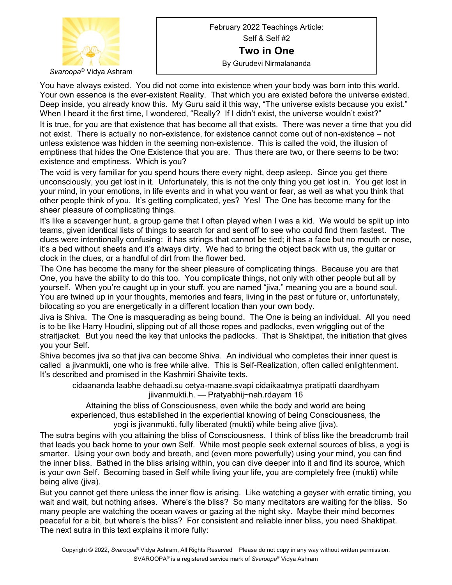

February 2022 Teachings Article: Self & Self #2 **Two in One** By Gurudevi Nirmalananda

You have always existed. You did not come into existence when your body was born into this world. Your own essence is the ever-existent Reality. That which you are existed before the universe existed. Deep inside, you already know this. My Guru said it this way, "The universe exists because you exist." When I heard it the first time, I wondered, "Really? If I didn't exist, the universe wouldn't exist?" It is true, for you are that existence that has become all that exists. There was never a time that you did not exist. There is actually no non-existence, for existence cannot come out of non-existence – not unless existence was hidden in the seeming non-existence. This is called the void, the illusion of

emptiness that hides the One Existence that you are. Thus there are two, or there seems to be two: existence and emptiness. Which is you?

The void is very familiar for you spend hours there every night, deep asleep. Since you get there unconsciously, you get lost in it. Unfortunately, this is not the only thing you get lost in. You get lost in your mind, in your emotions, in life events and in what you want or fear, as well as what you think that other people think of you. It's getting complicated, yes? Yes! The One has become many for the sheer pleasure of complicating things.

It's like a scavenger hunt, a group game that I often played when I was a kid. We would be split up into teams, given identical lists of things to search for and sent off to see who could find them fastest. The clues were intentionally confusing: it has strings that cannot be tied; it has a face but no mouth or nose, it's a bed without sheets and it's always dirty. We had to bring the object back with us, the guitar or clock in the clues, or a handful of dirt from the flower bed.

The One has become the many for the sheer pleasure of complicating things. Because you are that One, you have the ability to do this too. You complicate things, not only with other people but all by yourself. When you're caught up in your stuff, you are named "jiva," meaning you are a bound soul. You are twined up in your thoughts, memories and fears, living in the past or future or, unfortunately, bilocating so you are energetically in a different location than your own body.

Jiva is Shiva. The One is masquerading as being bound. The One is being an individual. All you need is to be like Harry Houdini, slipping out of all those ropes and padlocks, even wriggling out of the straitjacket. But you need the key that unlocks the padlocks. That is Shaktipat, the initiation that gives you your Self.

Shiva becomes jiva so that jiva can become Shiva. An individual who completes their inner quest is called a jivanmukti, one who is free while alive. This is Self-Realization, often called enlightenment. It's described and promised in the Kashmiri Shaivite texts.

cidaananda laabhe dehaadi.su cetya-maane.svapi cidaikaatmya pratipatti daardhyam jiivanmukti.h. — Pratyabhij~nah.rdayam 16

Attaining the bliss of Consciousness, even while the body and world are being experienced, thus established in the experiential knowing of being Consciousness, the yogi is jivanmukti, fully liberated (mukti) while being alive (jiva).

The sutra begins with you attaining the bliss of Consciousness. I think of bliss like the breadcrumb trail that leads you back home to your own Self. While most people seek external sources of bliss, a yogi is smarter. Using your own body and breath, and (even more powerfully) using your mind, you can find the inner bliss. Bathed in the bliss arising within, you can dive deeper into it and find its source, which is your own Self. Becoming based in Self while living your life, you are completely free (mukti) while being alive (jiva).

But you cannot get there unless the inner flow is arising. Like watching a geyser with erratic timing, you wait and wait, but nothing arises. Where's the bliss? So many meditators are waiting for the bliss. So many people are watching the ocean waves or gazing at the night sky. Maybe their mind becomes peaceful for a bit, but where's the bliss? For consistent and reliable inner bliss, you need Shaktipat. The next sutra in this text explains it more fully: